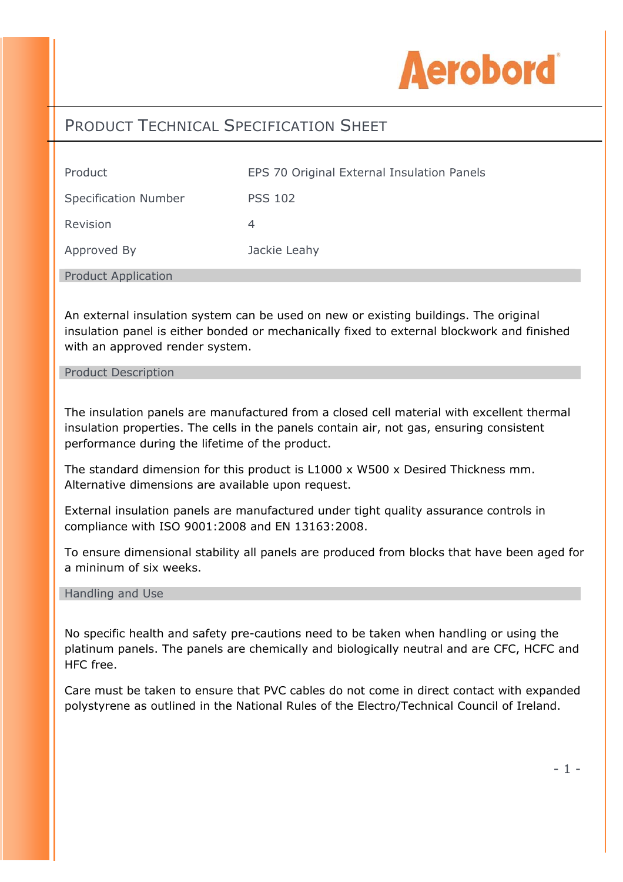

## PRODUCT TECHNICAL SPECIFICATION SHEET

| Product                     | EPS 70 Original External Insulation Panels |
|-----------------------------|--------------------------------------------|
| <b>Specification Number</b> | <b>PSS 102</b>                             |
| Revision                    | 4                                          |
| Approved By                 | Jackie Leahy                               |
| <b>Product Application</b>  |                                            |

An external insulation system can be used on new or existing buildings. The original insulation panel is either bonded or mechanically fixed to external blockwork and finished with an approved render system.

Product Description

The insulation panels are manufactured from a closed cell material with excellent thermal insulation properties. The cells in the panels contain air, not gas, ensuring consistent performance during the lifetime of the product.

The standard dimension for this product is L1000 x W500 x Desired Thickness mm. Alternative dimensions are available upon request.

External insulation panels are manufactured under tight quality assurance controls in compliance with ISO 9001:2008 and EN 13163:2008.

To ensure dimensional stability all panels are produced from blocks that have been aged for a mininum of six weeks.

## Handling and Use

No specific health and safety pre-cautions need to be taken when handling or using the platinum panels. The panels are chemically and biologically neutral and are CFC, HCFC and HFC free.

Care must be taken to ensure that PVC cables do not come in direct contact with expanded polystyrene as outlined in the National Rules of the Electro/Technical Council of Ireland.